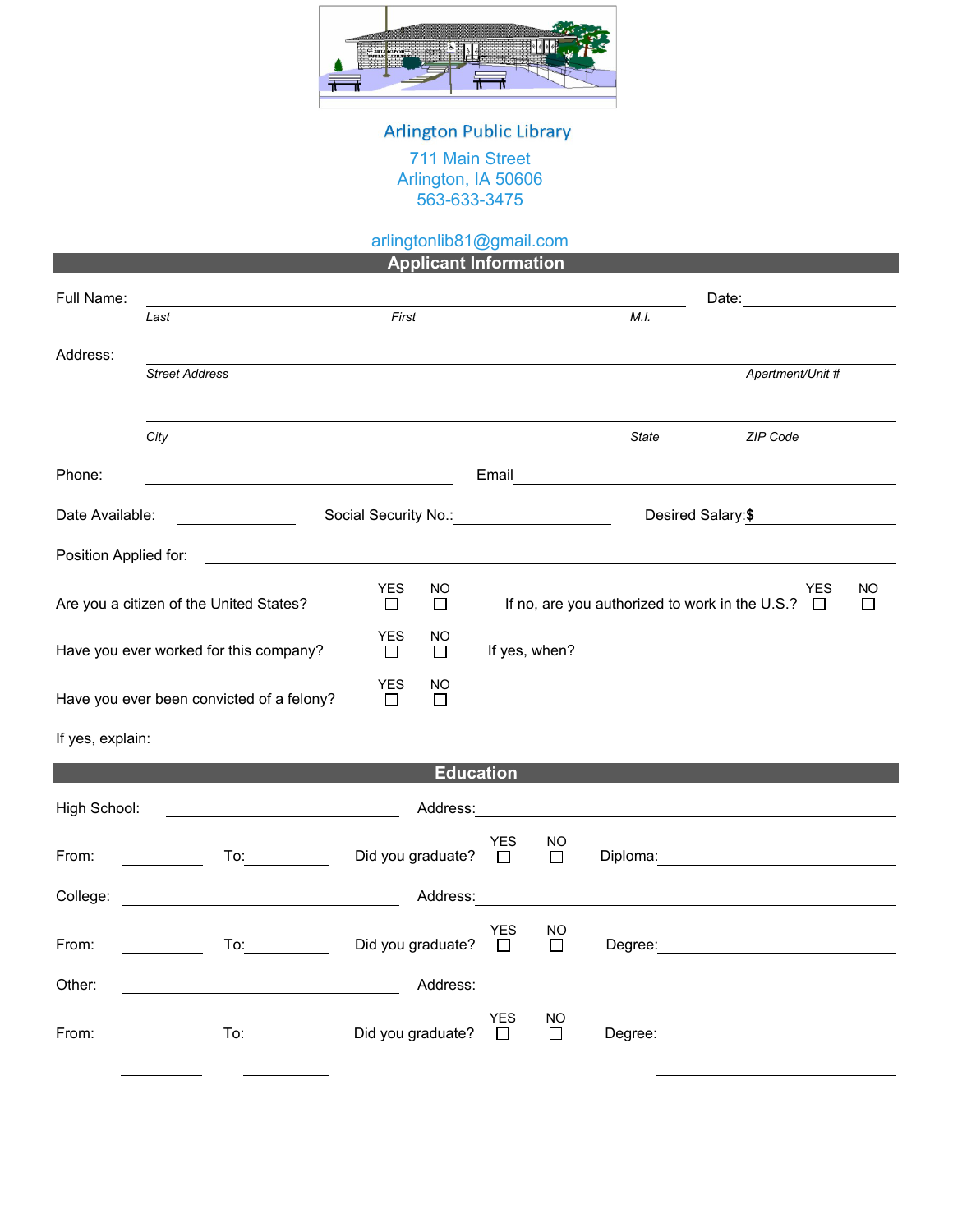

## **Arlington Public Library**

711 Main Street Arlington, IA 50606 563-633-3475

arlingtonlib81@gmail.com

**Applicant Information**

| Full Name:                                                                      |                                                         |                   |                                                                                                                |                      |                  |              |                                                     |  |
|---------------------------------------------------------------------------------|---------------------------------------------------------|-------------------|----------------------------------------------------------------------------------------------------------------|----------------------|------------------|--------------|-----------------------------------------------------|--|
|                                                                                 | First<br>Last                                           |                   |                                                                                                                |                      |                  | M.L          |                                                     |  |
| Address:                                                                        |                                                         |                   |                                                                                                                |                      |                  |              |                                                     |  |
| <b>Street Address</b>                                                           |                                                         |                   |                                                                                                                |                      | Apartment/Unit # |              |                                                     |  |
|                                                                                 | City                                                    |                   |                                                                                                                |                      |                  | <b>State</b> | ZIP Code                                            |  |
| Phone:                                                                          | <u> 1980 - Johann Barbara, martin amerikan basar da</u> |                   |                                                                                                                |                      |                  |              |                                                     |  |
| Date Available:                                                                 | Social Security No.:                                    |                   |                                                                                                                | Desired Salary:\$    |                  |              |                                                     |  |
| Position Applied for:                                                           |                                                         |                   |                                                                                                                |                      |                  |              |                                                     |  |
| Are you a citizen of the United States?                                         | <b>YES</b><br>$\Box$                                    | NO.<br>□          | YES<br>If no, are you authorized to work in the U.S.? $\Box$                                                   |                      |                  | NO<br>$\Box$ |                                                     |  |
| Have you ever worked for this company?                                          | <b>YES</b><br>$\Box$                                    | NO.<br>$\Box$     |                                                                                                                |                      |                  |              |                                                     |  |
| <b>YES</b><br>Have you ever been convicted of a felony?<br>$\Box$               |                                                         |                   | NO<br>$\Box$                                                                                                   |                      |                  |              |                                                     |  |
| If yes, explain:                                                                |                                                         |                   |                                                                                                                |                      |                  |              |                                                     |  |
|                                                                                 |                                                         |                   | <b>Education</b>                                                                                               |                      |                  |              |                                                     |  |
| High School:                                                                    |                                                         |                   | Address: Andreas and the state of the state of the state of the state of the state of the state of the state o |                      |                  |              |                                                     |  |
| From:                                                                           | To: $\qquad \qquad$                                     | Did you graduate? |                                                                                                                | <b>YES</b><br>$\Box$ | NO<br>$\Box$     |              | Diploma: <u>___________________________________</u> |  |
| Address:<br>College:<br><u> 1989 - Johann Barbara, martin amerikan basar da</u> |                                                         |                   |                                                                                                                |                      |                  |              |                                                     |  |
| From:                                                                           | To: $\qquad \qquad$<br><u>and the state</u>             | Did you graduate? |                                                                                                                | YES<br>$\Box$        | NO<br>$\Box$     |              |                                                     |  |
| Other:                                                                          |                                                         |                   | Address:                                                                                                       |                      |                  |              |                                                     |  |
| From:                                                                           | To:                                                     | Did you graduate? |                                                                                                                | YES<br>П             | NO<br>П          | Degree:      |                                                     |  |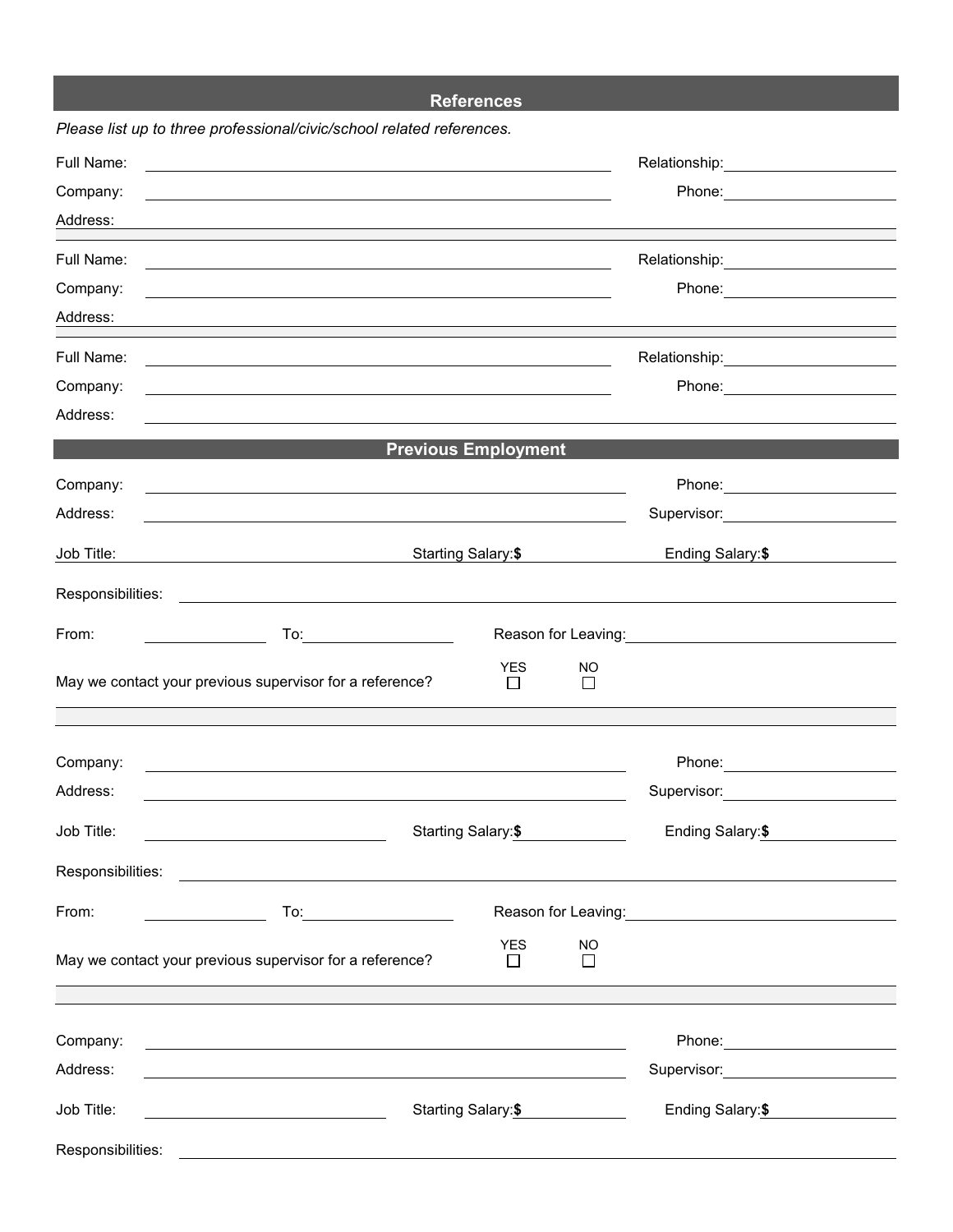## **References**

|                   | Please list up to three professional/civic/school related references.                                                |                                  |                     |                                                                                                               |  |  |
|-------------------|----------------------------------------------------------------------------------------------------------------------|----------------------------------|---------------------|---------------------------------------------------------------------------------------------------------------|--|--|
| Full Name:        | <u> 1989 - John Stoff, amerikansk politiker (* 1989)</u>                                                             | Relationship:___________________ |                     |                                                                                                               |  |  |
| Company:          |                                                                                                                      |                                  |                     |                                                                                                               |  |  |
| Address:          |                                                                                                                      |                                  |                     |                                                                                                               |  |  |
| Full Name:        | and the control of the control of the control of the control of the control of the control of the control of the     |                                  |                     | Relationship: 2000                                                                                            |  |  |
| Company:          |                                                                                                                      |                                  |                     |                                                                                                               |  |  |
| Address:          | and the control of the control of the control of the control of the control of the control of the control of the     |                                  |                     |                                                                                                               |  |  |
| Full Name:        |                                                                                                                      |                                  |                     | Relationship: 2000                                                                                            |  |  |
| Company:          | <u> 1989 - Johann Stoff, amerikansk politiker (* 1908)</u>                                                           |                                  |                     |                                                                                                               |  |  |
| Address:          |                                                                                                                      |                                  |                     |                                                                                                               |  |  |
|                   | <b>Previous Employment</b>                                                                                           |                                  |                     |                                                                                                               |  |  |
| Company:          |                                                                                                                      |                                  |                     |                                                                                                               |  |  |
| Address:          | <u> 1989 - Johann Stoff, amerikansk politiker (* 1908)</u>                                                           |                                  |                     | Supervisor: 2000                                                                                              |  |  |
| Job Title:        | <u> 1980 - Johann Barnett, fransk politik (f. 1980)</u>                                                              | Starting Salary: \$              |                     |                                                                                                               |  |  |
| Responsibilities: | <u> 1980 - Jan Samuel Barbara, margaret e populari e populari e populari e populari e populari e populari e popu</u> |                                  |                     |                                                                                                               |  |  |
| From:             |                                                                                                                      |                                  |                     | Reason for Leaving: Management Control of Reason for Leaving:                                                 |  |  |
|                   | May we contact your previous supervisor for a reference?                                                             | <b>YES</b><br>$\Box$             | <b>NO</b><br>□      |                                                                                                               |  |  |
|                   |                                                                                                                      |                                  |                     |                                                                                                               |  |  |
| Company:          |                                                                                                                      |                                  |                     | Phone: 2000                                                                                                   |  |  |
| Address:          |                                                                                                                      |                                  |                     | Supervisor: 2000                                                                                              |  |  |
| Job Title:        |                                                                                                                      | Starting Salary:\$               |                     | Ending Salary: \$                                                                                             |  |  |
| Responsibilities: |                                                                                                                      |                                  |                     |                                                                                                               |  |  |
| From:             | To: ________________                                                                                                 |                                  |                     | Reason for Leaving: <u>contained and all proportional</u>                                                     |  |  |
|                   | May we contact your previous supervisor for a reference?                                                             | <b>YES</b><br>$\Box$             | <b>NO</b><br>$\Box$ |                                                                                                               |  |  |
|                   |                                                                                                                      |                                  |                     |                                                                                                               |  |  |
| Company:          |                                                                                                                      |                                  |                     | Phone: 2000 2000 2010 2010 2010 2010 2021 2022 2023 2024 2025 2020 2021 2022 2023 2021 2022 2023 2024 2025 20 |  |  |
| Address:          |                                                                                                                      |                                  |                     |                                                                                                               |  |  |
| Job Title:        | <u> 1989 - Johann Barbara, martin a</u>                                                                              | Starting Salary:\$               |                     | Ending Salary:\$                                                                                              |  |  |
| Responsibilities: |                                                                                                                      |                                  |                     |                                                                                                               |  |  |